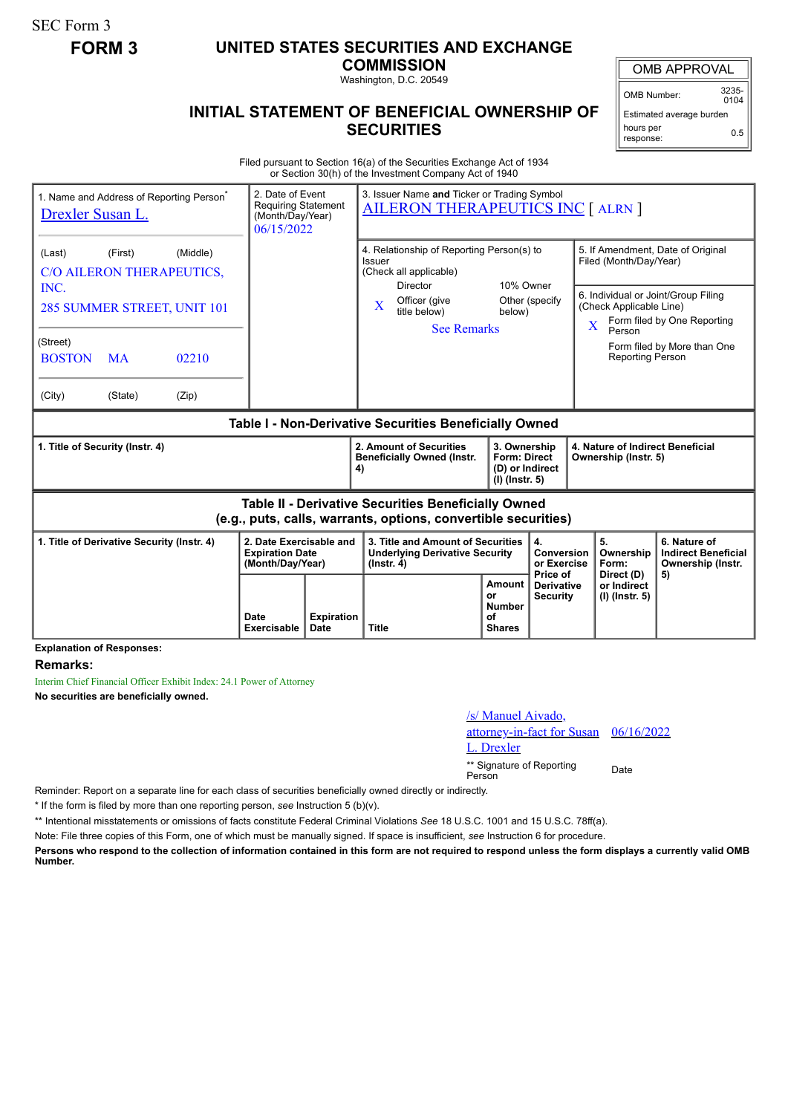SEC Form 3

## **FORM 3 UNITED STATES SECURITIES AND EXCHANGE**

**COMMISSION** Washington, D.C. 20549

## **INITIAL STATEMENT OF BENEFICIAL OWNERSHIP OF SECURITIES**

OMB APPROVAL

OMB Number: 3235-  $0104$ 

Estimated average burden hours per response: 0.5

Filed pursuant to Section 16(a) of the Securities Exchange Act of 1934 or Section 30(h) of the Investment Company Act of 1940

| 1. Name and Address of Reporting Person <sup>®</sup><br>Drexler Susan L.                                                     |           |       | 3. Issuer Name and Ticker or Trading Symbol<br>2. Date of Event<br><b>Requiring Statement</b><br><b>AILERON THERAPEUTICS INC [ ALRN ]</b><br>(Month/Day/Year)<br>06/15/2022 |                                  |                                                                                                  |                                                              |                                                                          |                                             |                                                                                                    |                                                                 |
|------------------------------------------------------------------------------------------------------------------------------|-----------|-------|-----------------------------------------------------------------------------------------------------------------------------------------------------------------------------|----------------------------------|--------------------------------------------------------------------------------------------------|--------------------------------------------------------------|--------------------------------------------------------------------------|---------------------------------------------|----------------------------------------------------------------------------------------------------|-----------------------------------------------------------------|
| (Middle)<br>(Last)<br>(First)<br>C/O AILERON THERAPEUTICS,<br>INC.                                                           |           |       |                                                                                                                                                                             |                                  | 4. Relationship of Reporting Person(s) to<br>Issuer<br>(Check all applicable)<br><b>Director</b> |                                                              | 10% Owner                                                                |                                             | 5. If Amendment, Date of Original<br>Filed (Month/Day/Year)<br>6. Individual or Joint/Group Filing |                                                                 |
| 285 SUMMER STREET, UNIT 101                                                                                                  |           |       |                                                                                                                                                                             |                                  | $\mathbf{X}$                                                                                     | Officer (give<br>title below)<br><b>See Remarks</b>          | below)                                                                   | Other (specify                              | (Check Applicable Line)<br>Form filed by One Reporting<br>Person                                   |                                                                 |
| (Street)<br><b>BOSTON</b>                                                                                                    | <b>MA</b> | 02210 |                                                                                                                                                                             |                                  |                                                                                                  |                                                              |                                                                          |                                             | <b>Reporting Person</b>                                                                            | Form filed by More than One                                     |
| (City)                                                                                                                       | (State)   | (Zip) |                                                                                                                                                                             |                                  |                                                                                                  |                                                              |                                                                          |                                             |                                                                                                    |                                                                 |
| <b>Table I - Non-Derivative Securities Beneficially Owned</b>                                                                |           |       |                                                                                                                                                                             |                                  |                                                                                                  |                                                              |                                                                          |                                             |                                                                                                    |                                                                 |
| 1. Title of Security (Instr. 4)                                                                                              |           |       |                                                                                                                                                                             |                                  | 4)                                                                                               | 2. Amount of Securities<br><b>Beneficially Owned (Instr.</b> | 3. Ownership<br><b>Form: Direct</b><br>(D) or Indirect<br>(I) (Instr. 5) |                                             | 4. Nature of Indirect Beneficial<br>Ownership (Instr. 5)                                           |                                                                 |
| <b>Table II - Derivative Securities Beneficially Owned</b><br>(e.g., puts, calls, warrants, options, convertible securities) |           |       |                                                                                                                                                                             |                                  |                                                                                                  |                                                              |                                                                          |                                             |                                                                                                    |                                                                 |
| 1. Title of Derivative Security (Instr. 4)                                                                                   |           |       | 2. Date Exercisable and<br><b>Expiration Date</b><br>(Month/Day/Year)                                                                                                       |                                  | 3. Title and Amount of Securities<br><b>Underlying Derivative Security</b><br>$($ lnstr. 4 $)$   |                                                              |                                                                          | 4.<br>Conversion<br>or Exercise<br>Price of | 5.<br>Ownership<br>Form:                                                                           | 6. Nature of<br><b>Indirect Beneficial</b><br>Ownership (Instr. |
|                                                                                                                              |           |       | Date<br>Exercisable                                                                                                                                                         | <b>Expiration</b><br><b>Date</b> | <b>Title</b>                                                                                     |                                                              | Amount<br>or<br><b>Number</b><br>οf<br><b>Shares</b>                     | <b>Derivative</b><br><b>Security</b>        | Direct (D)<br>or Indirect<br>(I) (Instr. 5)                                                        | 5)                                                              |

**Explanation of Responses:**

**Remarks:**

Interim Chief Financial Officer Exhibit Index: 24.1 Power of Attorney

**No securities are beneficially owned.**

| /s/ Manuel Aivado,<br>attorney-in-fact for Susan 06/16/2022<br>L. Drexler |      |
|---------------------------------------------------------------------------|------|
| ** Signature of Reporting<br>Person                                       | Date |

Reminder: Report on a separate line for each class of securities beneficially owned directly or indirectly.

\* If the form is filed by more than one reporting person, *see* Instruction 5 (b)(v).

\*\* Intentional misstatements or omissions of facts constitute Federal Criminal Violations *See* 18 U.S.C. 1001 and 15 U.S.C. 78ff(a).

Note: File three copies of this Form, one of which must be manually signed. If space is insufficient, *see* Instruction 6 for procedure.

**Persons who respond to the collection of information contained in this form are not required to respond unless the form displays a currently valid OMB Number.**